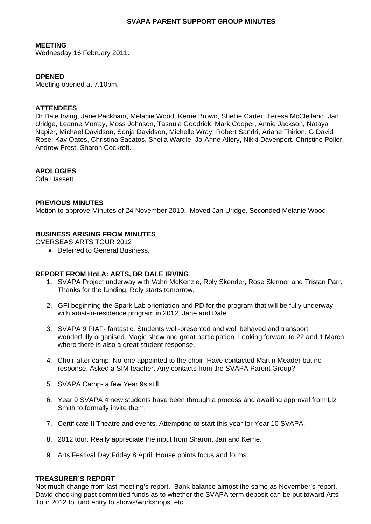## **SVAPA PARENT SUPPORT GROUP MINUTES**

### **MEETING**

Wednesday 16 February 2011.

# **OPENED**

Meeting opened at 7.10pm.

### **ATTENDEES**

Dr Dale Irving, Jane Packham, Melanie Wood, Kerrie Brown, Shellie Carter, Teresa McClelland, Jan Uridge, Leanne Murray, Moss Johnson, Tasoula Goodrick, Mark Cooper, Annie Jackson, Nataya Napier, Michael Davidson, Sonja Davidson, Michelle Wray, Robert Sandri, Ariane Thirion, G.David Rose, Kay Oates, Christina Sacatos, Sheila Wardle, Jo-Anne Allery, Nikki Davenport, Christine Poller, Andrew Frost, Sharon Cockroft.

# **APOLOGIES**

Orla Hassett.

## **PREVIOUS MINUTES**

Motion to approve Minutes of 24 November 2010. Moved Jan Uridge, Seconded Melanie Wood.

# **BUSINESS ARISING FROM MINUTES**

OVERSEAS ARTS TOUR 2012

• Deferred to General Business.

#### **REPORT FROM HoLA: ARTS, DR DALE IRVING**

- 1. SVAPA Project underway with Vahri McKenzie, Roly Skender, Rose Skinner and Tristan Parr. Thanks for the funding. Roly starts tomorrow.
- 2. GFI beginning the Spark Lab orientation and PD for the program that will be fully underway with artist-in-residence program in 2012. Jane and Dale.
- 3. SVAPA 9 PIAF- fantastic. Students well-presented and well behaved and transport wonderfully organised. Magic show and great participation. Looking forward to 22 and 1 March where there is also a great student response.
- 4. Choir-after camp. No-one appointed to the choir. Have contacted Martin Meader but no response. Asked a SIM teacher. Any contacts from the SVAPA Parent Group?
- 5. SVAPA Camp- a few Year 9s still.
- 6. Year 9 SVAPA 4 new students have been through a process and awaiting approval from Liz Smith to formally invite them.
- 7. Certificate II Theatre and events. Attempting to start this year for Year 10 SVAPA.
- 8. 2012 tour. Really appreciate the input from Sharon, Jan and Kerrie.
- 9. Arts Festival Day Friday 8 April. House points focus and forms.

#### **TREASURER'S REPORT**

Not much change from last meeting's report. Bank balance almost the same as November's report. David checking past committed funds as to whether the SVAPA term deposit can be put toward Arts Tour 2012 to fund entry to shows/workshops, etc.